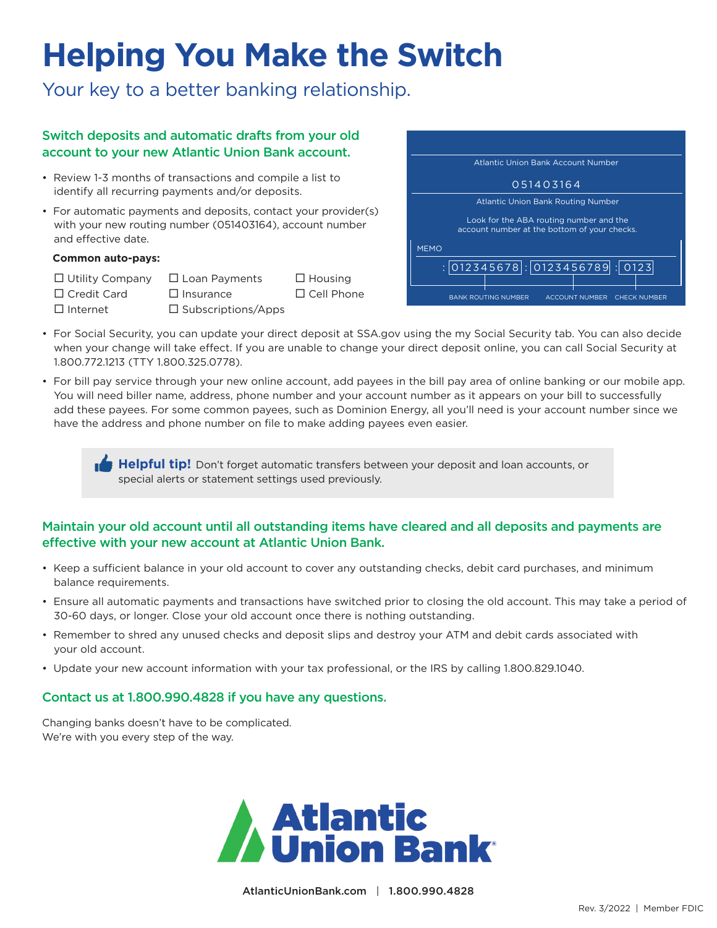# **Helping You Make the Switch**

Your key to a better banking relationship.

## Switch deposits and automatic drafts from your old account to your new Atlantic Union Bank account.

- Review 1-3 months of transactions and compile a list to identify all recurring payments and/or deposits.
- For automatic payments and deposits, contact your provider(s) with your new routing number (051403164), account number and effective date.

#### **Common auto-pays:**

 $\Box$  Utility Company  $\Box$  Loan Payments  $\Box$  Housing  $\Box$  Credit Card  $\Box$  Insurance  $\Box$  Cell Phone  $\square$  Internet  $\square$  Subscriptions/Apps



- For Social Security, you can update your direct deposit at SSA.gov using the my Social Security tab. You can also decide when your change will take effect. If you are unable to change your direct deposit online, you can call Social Security at 1.800.772.1213 (TTY 1.800.325.0778).
- For bill pay service through your new online account, add payees in the bill pay area of online banking or our mobile app. You will need biller name, address, phone number and your account number as it appears on your bill to successfully add these payees. For some common payees, such as Dominion Energy, all you'll need is your account number since we have the address and phone number on file to make adding payees even easier.

**Helpful tip!** Don't forget automatic transfers between your deposit and loan accounts, or special alerts or statement settings used previously.

#### Maintain your old account until all outstanding items have cleared and all deposits and payments are effective with your new account at Atlantic Union Bank.

- Keep a sufficient balance in your old account to cover any outstanding checks, debit card purchases, and minimum balance requirements.
- Ensure all automatic payments and transactions have switched prior to closing the old account. This may take a period of 30-60 days, or longer. Close your old account once there is nothing outstanding.
- Remember to shred any unused checks and deposit slips and destroy your ATM and debit cards associated with your old account.
- Update your new account information with your tax professional, or the IRS by calling 1.800.829.1040.

#### Contact us at 1.800.990.4828 if you have any questions.

Changing banks doesn't have to be complicated. We're with you every step of the way.